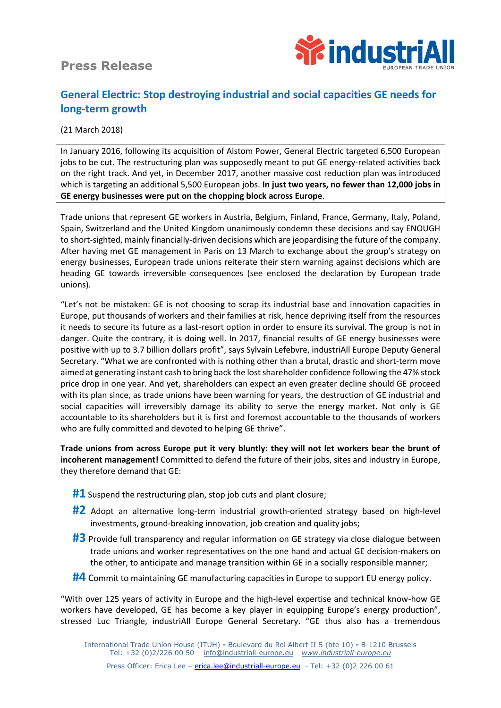## **Press Release**



## **General Electric: Stop destroying industrial and social capacities GE needs for long-term growth**

#### (21 March 2018)

In January 2016, following its acquisition of Alstom Power, General Electric targeted 6,500 European jobs to be cut. The restructuring plan was supposedly meant to put GE energy-related activities back on the right track. And yet, in December 2017, another massive cost reduction plan was introduced which is targeting an additional 5,500 European jobs. **In just two years, no fewer than 12,000 jobs in GE energy businesses were put on the chopping block across Europe**.

Trade unions that represent GE workers in Austria, Belgium, Finland, France, Germany, Italy, Poland, Spain, Switzerland and the United Kingdom unanimously condemn these decisions and say ENOUGH to short-sighted, mainly financially-driven decisions which are jeopardising the future of the company. After having met GE management in Paris on 13 March to exchange about the group's strategy on energy businesses, European trade unions reiterate their stern warning against decisions which are heading GE towards irreversible consequences (see enclosed the declaration by European trade unions).

"Let's not be mistaken: GE is not choosing to scrap its industrial base and innovation capacities in Europe, put thousands of workers and their families at risk, hence depriving itself from the resources it needs to secure its future as a last-resort option in order to ensure its survival. The group is not in danger. Quite the contrary, it is doing well. In 2017, financial results of GE energy businesses were positive with up to 3.7 billion dollars profit", says Sylvain Lefebvre, industriAll Europe Deputy General Secretary. "What we are confronted with is nothing other than a brutal, drastic and short-term move aimed at generating instant cash to bring back the lost shareholder confidence following the 47% stock price drop in one year. And yet, shareholders can expect an even greater decline should GE proceed with its plan since, as trade unions have been warning for years, the destruction of GE industrial and social capacities will irreversibly damage its ability to serve the energy market. Not only is GE accountable to its shareholders but it is first and foremost accountable to the thousands of workers who are fully committed and devoted to helping GE thrive".

**Trade unions from across Europe put it very bluntly: they will not let workers bear the brunt of incoherent management!** Committed to defend the future of their jobs, sites and industry in Europe, they therefore demand that GE:

- **#1** Suspend the restructuring plan, stop job cuts and plant closure;
- **#2** Adopt an alternative long-term industrial growth-oriented strategy based on high-level investments, ground-breaking innovation, job creation and quality jobs;
- **#3** Provide full transparency and regular information on GE strategy via close dialogue between trade unions and worker representatives on the one hand and actual GE decision-makers on the other, to anticipate and manage transition within GE in a socially responsible manner;
- **#4** Commit to maintaining GE manufacturing capacities in Europe to support EU energy policy.

"With over 125 years of activity in Europe and the high-level expertise and technical know-how GE workers have developed, GE has become a key player in equipping Europe's energy production", stressed Luc Triangle, industriAll Europe General Secretary. "GE thus also has a tremendous